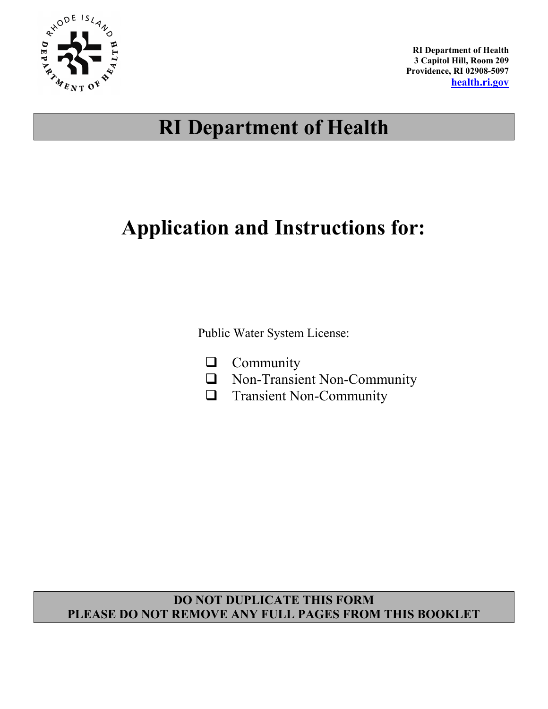

**RI Department of Health 3 Capitol Hill, Room 209 Providence, RI 02908-5097 health.ri.gov**

# **RI Department of Health**

# **Application and Instructions for:**

Public Water System License:

- **Q** Community
- Non-Transient Non-Community
- **Transient Non-Community**

## **DO NOT DUPLICATE THIS FORM PLEASE DO NOT REMOVE ANY FULL PAGES FROM THIS BOOKLET**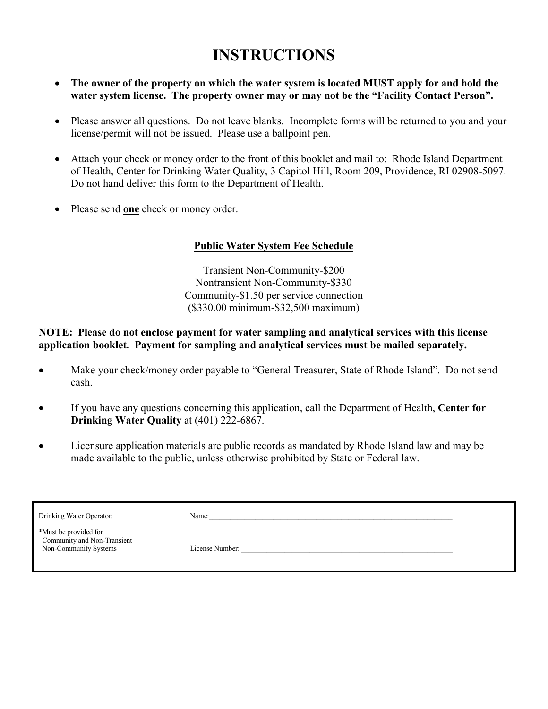## **INSTRUCTIONS**

- **The owner of the property on which the water system is located MUST apply for and hold the water system license. The property owner may or may not be the "Facility Contact Person".**
- Please answer all questions. Do not leave blanks. Incomplete forms will be returned to you and your license/permit will not be issued. Please use a ballpoint pen.
- Attach your check or money order to the front of this booklet and mail to: Rhode Island Department of Health, Center for Drinking Water Quality, 3 Capitol Hill, Room 209, Providence, RI 02908-5097. Do not hand deliver this form to the Department of Health.
- Please send **one** check or money order.

### **Public Water System Fee Schedule**

Transient Non-Community-\$200 Nontransient Non-Community-\$330 Community-\$1.50 per service connection (\$330.00 minimum-\$32,500 maximum)

#### **NOTE: Please do not enclose payment for water sampling and analytical services with this license application booklet. Payment for sampling and analytical services must be mailed separately.**

- Make your check/money order payable to "General Treasurer, State of Rhode Island". Do not send cash.
- If you have any questions concerning this application, call the Department of Health, **Center for Drinking Water Quality** at (401) 222-6867.
- Licensure application materials are public records as mandated by Rhode Island law and may be made available to the public, unless otherwise prohibited by State or Federal law.

| Drinking Water Operator:                                                      | Name:           |
|-------------------------------------------------------------------------------|-----------------|
| *Must be provided for<br>Community and Non-Transient<br>Non-Community Systems | License Number: |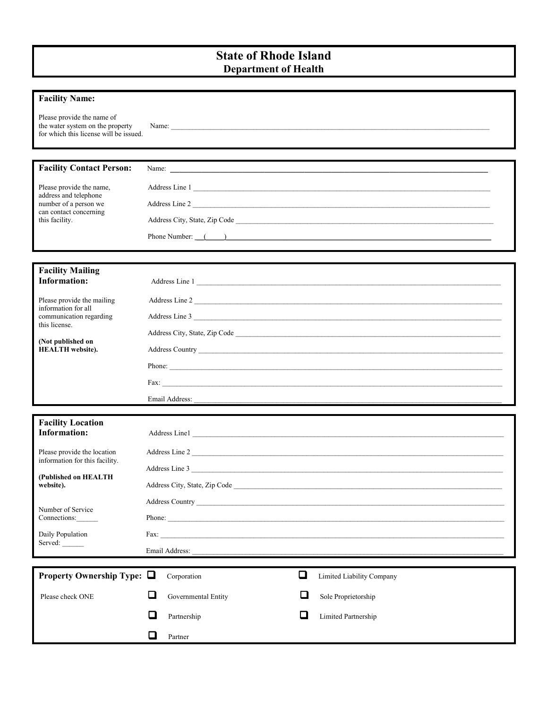### **State of Rhode Island Department of Health**

| <b>Facility Name:</b>                                                                                    |                               |                                                                                                                                                                                                                                |  |  |
|----------------------------------------------------------------------------------------------------------|-------------------------------|--------------------------------------------------------------------------------------------------------------------------------------------------------------------------------------------------------------------------------|--|--|
| Please provide the name of<br>the water system on the property<br>for which this license will be issued. |                               |                                                                                                                                                                                                                                |  |  |
|                                                                                                          |                               |                                                                                                                                                                                                                                |  |  |
| <b>Facility Contact Person:</b>                                                                          |                               |                                                                                                                                                                                                                                |  |  |
| Please provide the name,<br>address and telephone<br>number of a person we                               |                               | Address Line 1                                                                                                                                                                                                                 |  |  |
|                                                                                                          |                               | Address Line 2                                                                                                                                                                                                                 |  |  |
| can contact concerning<br>this facility.                                                                 |                               |                                                                                                                                                                                                                                |  |  |
|                                                                                                          |                               | Phone Number: (Call 2008) and the set of the set of the set of the set of the set of the set of the set of the set of the set of the set of the set of the set of the set of the set of the set of the set of the set of the s |  |  |
|                                                                                                          |                               |                                                                                                                                                                                                                                |  |  |
| <b>Facility Mailing</b>                                                                                  |                               |                                                                                                                                                                                                                                |  |  |
| <b>Information:</b>                                                                                      |                               | Address Line 1                                                                                                                                                                                                                 |  |  |
| Please provide the mailing                                                                               |                               | Address Line 2                                                                                                                                                                                                                 |  |  |
| information for all<br>communication regarding                                                           | Address Line 3                |                                                                                                                                                                                                                                |  |  |
| this license.                                                                                            |                               |                                                                                                                                                                                                                                |  |  |
| (Not published on<br><b>HEALTH</b> website).                                                             |                               |                                                                                                                                                                                                                                |  |  |
|                                                                                                          |                               |                                                                                                                                                                                                                                |  |  |
|                                                                                                          |                               |                                                                                                                                                                                                                                |  |  |
|                                                                                                          |                               |                                                                                                                                                                                                                                |  |  |
|                                                                                                          |                               |                                                                                                                                                                                                                                |  |  |
| <b>Facility Location</b><br><b>Information:</b>                                                          | Address Line1                 |                                                                                                                                                                                                                                |  |  |
| Please provide the location                                                                              | Address Line 2                |                                                                                                                                                                                                                                |  |  |
| information for this facility.                                                                           | Address Line 3                |                                                                                                                                                                                                                                |  |  |
| (Published on HEALTH)<br>website).                                                                       | Address City, State, Zip Code | <u> 1989 - Johann John Stein, mars an deutscher Stein († 1958)</u>                                                                                                                                                             |  |  |
|                                                                                                          |                               |                                                                                                                                                                                                                                |  |  |
| Number of Service<br>Connections:                                                                        |                               |                                                                                                                                                                                                                                |  |  |
| Daily Population                                                                                         |                               |                                                                                                                                                                                                                                |  |  |
| Served:                                                                                                  |                               |                                                                                                                                                                                                                                |  |  |
|                                                                                                          |                               |                                                                                                                                                                                                                                |  |  |
| Property Ownership Type: $\Box$                                                                          | Corporation                   | $\Box$<br>Limited Liability Company                                                                                                                                                                                            |  |  |
| Please check ONE                                                                                         | □<br>Governmental Entity      | ப<br>Sole Proprietorship                                                                                                                                                                                                       |  |  |
|                                                                                                          | □<br>Partnership              | $\Box$<br>Limited Partnership                                                                                                                                                                                                  |  |  |
|                                                                                                          | $\Box$<br>Partner             |                                                                                                                                                                                                                                |  |  |